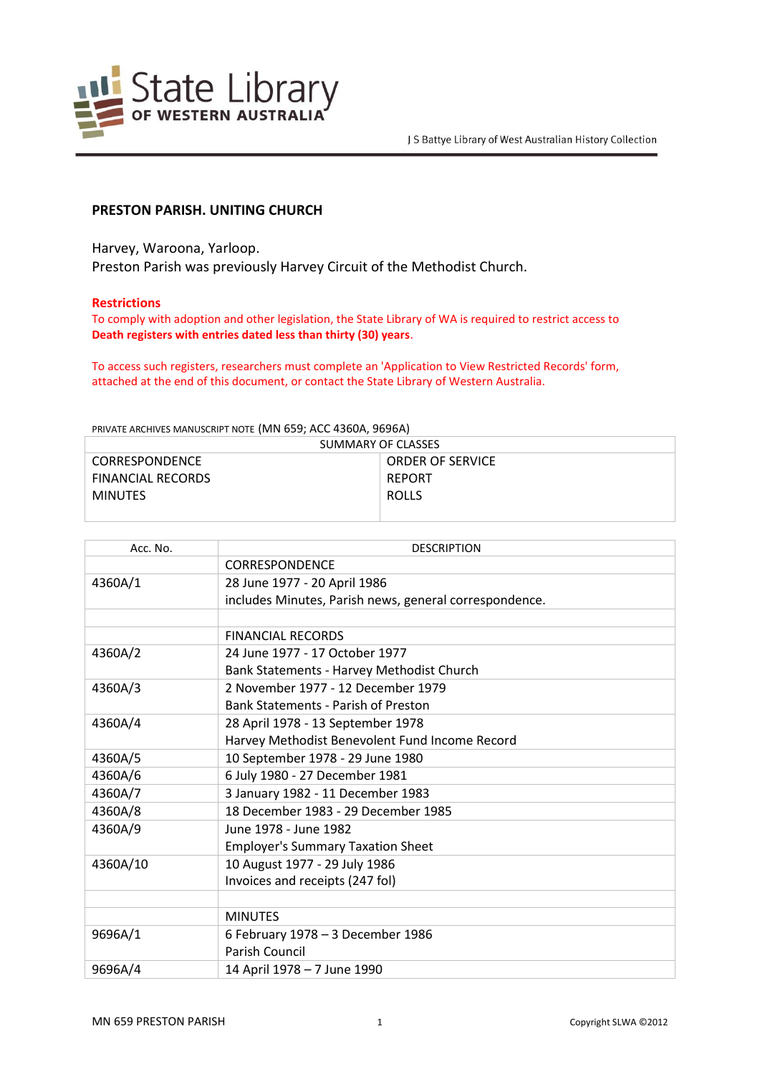

# **PRESTON PARISH. UNITING CHURCH**

Harvey, Waroona, Yarloop. Preston Parish was previously Harvey Circuit of the Methodist Church.

### **Restrictions**

To comply with adoption and other legislation, the State Library of WA is required to restrict access to **Death registers with entries dated less than thirty (30) years**.

To access such registers, researchers must complete an 'Application to View Restricted Records' form, attached at the end of this document, or contact the State Library of Western Australia.

PRIVATE ARCHIVES MANUSCRIPT NOTE (MN 659; ACC 4360A, 9696A)

| SUMMARY OF CLASSES       |                         |  |
|--------------------------|-------------------------|--|
| <b>CORRESPONDENCE</b>    | <b>ORDER OF SERVICE</b> |  |
| <b>FINANCIAL RECORDS</b> | REPORT                  |  |
| <b>MINUTES</b>           | <b>ROLLS</b>            |  |
|                          |                         |  |

| Acc. No. | <b>DESCRIPTION</b>                                     |
|----------|--------------------------------------------------------|
|          | <b>CORRESPONDENCE</b>                                  |
| 4360A/1  | 28 June 1977 - 20 April 1986                           |
|          | includes Minutes, Parish news, general correspondence. |
|          |                                                        |
|          | <b>FINANCIAL RECORDS</b>                               |
| 4360A/2  | 24 June 1977 - 17 October 1977                         |
|          | Bank Statements - Harvey Methodist Church              |
| 4360A/3  | 2 November 1977 - 12 December 1979                     |
|          | <b>Bank Statements - Parish of Preston</b>             |
| 4360A/4  | 28 April 1978 - 13 September 1978                      |
|          | Harvey Methodist Benevolent Fund Income Record         |
| 4360A/5  | 10 September 1978 - 29 June 1980                       |
| 4360A/6  | 6 July 1980 - 27 December 1981                         |
| 4360A/7  | 3 January 1982 - 11 December 1983                      |
| 4360A/8  | 18 December 1983 - 29 December 1985                    |
| 4360A/9  | June 1978 - June 1982                                  |
|          | <b>Employer's Summary Taxation Sheet</b>               |
| 4360A/10 | 10 August 1977 - 29 July 1986                          |
|          | Invoices and receipts (247 fol)                        |
|          |                                                        |
|          | <b>MINUTES</b>                                         |
| 9696A/1  | 6 February 1978 - 3 December 1986                      |
|          | Parish Council                                         |
| 9696A/4  | 14 April 1978 - 7 June 1990                            |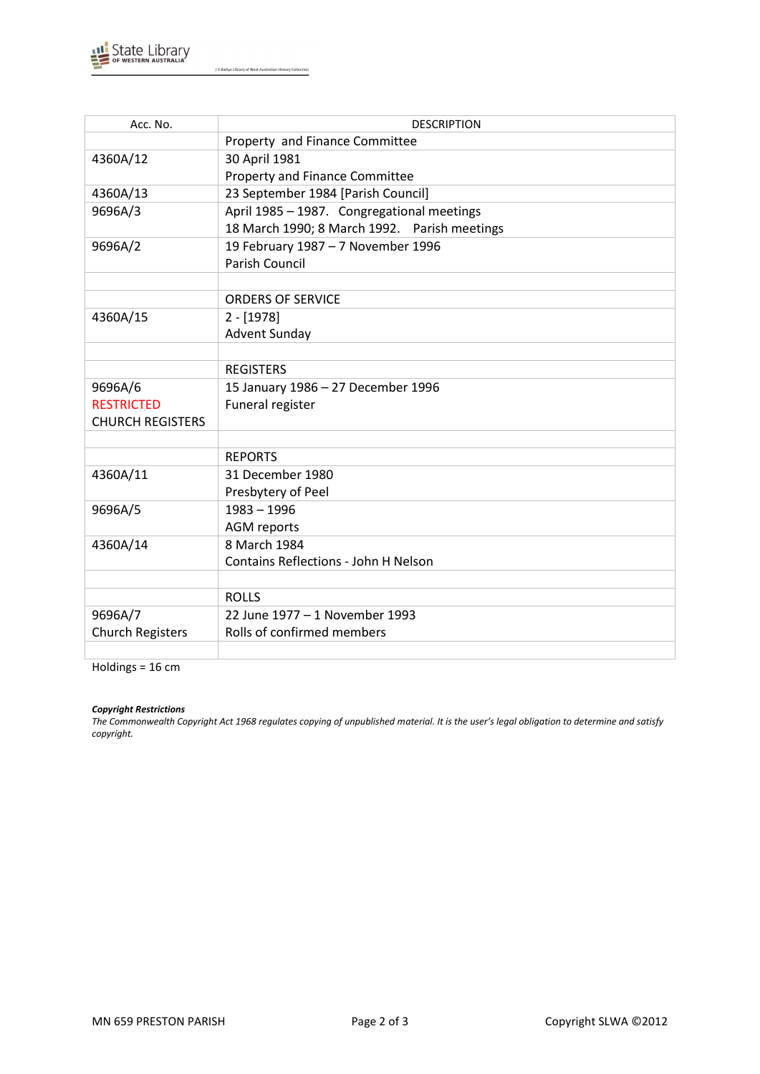

J S Battye Library of West Australian History Collection

| Acc. No.                | <b>DESCRIPTION</b>                           |
|-------------------------|----------------------------------------------|
|                         | Property and Finance Committee               |
| 4360A/12                | 30 April 1981                                |
|                         | Property and Finance Committee               |
| 4360A/13                | 23 September 1984 [Parish Council]           |
| 9696A/3                 | April 1985 - 1987. Congregational meetings   |
|                         | 18 March 1990; 8 March 1992. Parish meetings |
| 9696A/2                 | 19 February 1987 - 7 November 1996           |
|                         | <b>Parish Council</b>                        |
|                         |                                              |
|                         | <b>ORDERS OF SERVICE</b>                     |
| 4360A/15                | $2 - [1978]$                                 |
|                         | <b>Advent Sunday</b>                         |
|                         |                                              |
|                         | <b>REGISTERS</b>                             |
| 9696A/6                 | 15 January 1986 - 27 December 1996           |
| <b>RESTRICTED</b>       | Funeral register                             |
| <b>CHURCH REGISTERS</b> |                                              |
|                         |                                              |
|                         | <b>REPORTS</b>                               |
| 4360A/11                | 31 December 1980                             |
|                         | Presbytery of Peel                           |
| 9696A/5                 | $1983 - 1996$                                |
|                         | <b>AGM</b> reports                           |
| 4360A/14                | 8 March 1984                                 |
|                         | Contains Reflections - John H Nelson         |
|                         |                                              |
|                         | <b>ROLLS</b>                                 |
| 9696A/7                 | 22 June 1977 - 1 November 1993               |
| <b>Church Registers</b> | Rolls of confirmed members                   |
|                         |                                              |

Holdings = 16 cm

#### *Copyright Restrictions*

*The Commonwealth Copyright Act 1968 regulates copying of unpublished material. It is the user's legal obligation to determine and satisfy copyright.*